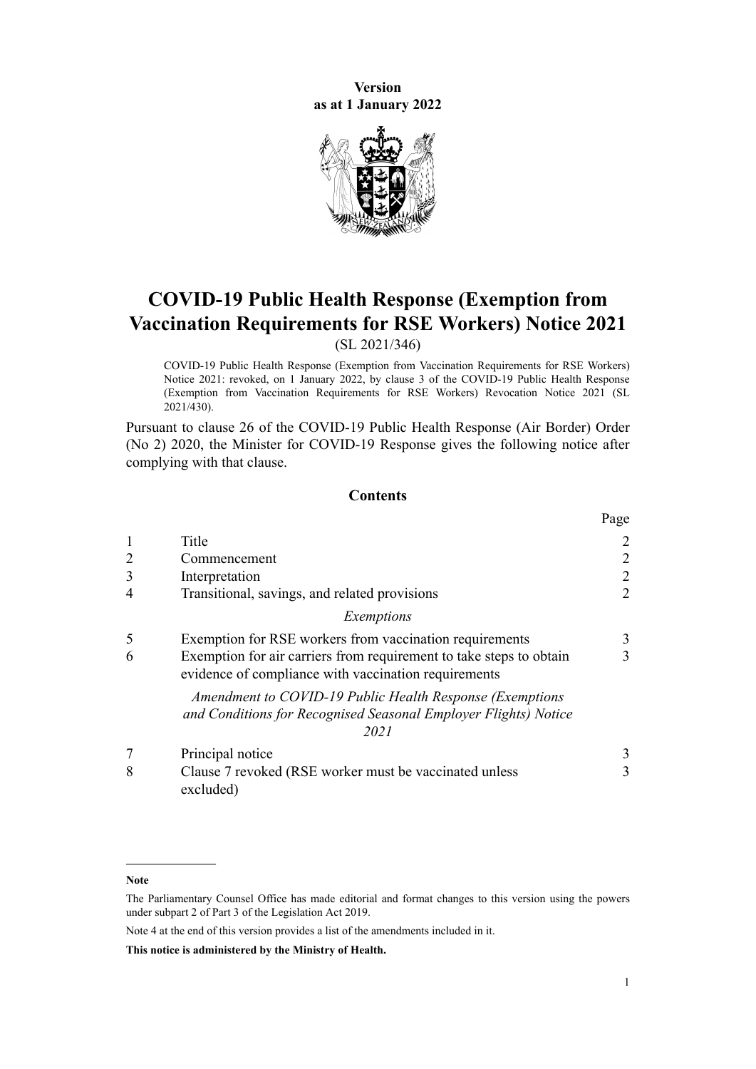**Version as at 1 January 2022**



# **COVID-19 Public Health Response (Exemption from Vaccination Requirements for RSE Workers) Notice 2021**

(SL 2021/346)

COVID-19 Public Health Response (Exemption from Vaccination Requirements for RSE Workers) Notice 2021: revoked, on 1 January 2022, by [clause 3](http://legislation.govt.nz/pdflink.aspx?id=LMS623133) of the COVID-19 Public Health Response (Exemption from Vaccination Requirements for RSE Workers) Revocation Notice 2021 (SL 2021/430).

Pursuant to [clause 26](http://legislation.govt.nz/pdflink.aspx?id=LMS439193) of the [COVID-19 Public Health Response \(Air Border\) Order](http://legislation.govt.nz/pdflink.aspx?id=LMS403345) [\(No 2\) 2020,](http://legislation.govt.nz/pdflink.aspx?id=LMS403345) the Minister for COVID-19 Response gives the following notice after complying with that clause.

## **Contents**

|                |                                                                                                                                     | Page           |
|----------------|-------------------------------------------------------------------------------------------------------------------------------------|----------------|
|                | Title                                                                                                                               | $\overline{2}$ |
| $\overline{2}$ | Commencement                                                                                                                        | $\overline{2}$ |
| 3              | Interpretation                                                                                                                      | $\overline{2}$ |
| 4              | Transitional, savings, and related provisions                                                                                       | $\overline{2}$ |
|                | Exemptions                                                                                                                          |                |
| 5              | Exemption for RSE workers from vaccination requirements                                                                             | 3              |
| 6              | Exemption for air carriers from requirement to take steps to obtain<br>evidence of compliance with vaccination requirements         | 3              |
|                | Amendment to COVID-19 Public Health Response (Exemptions<br>and Conditions for Recognised Seasonal Employer Flights) Notice<br>2021 |                |
|                | Principal notice                                                                                                                    | 3              |
| 8              | Clause 7 revoked (RSE worker must be vaccinated unless<br>excluded)                                                                 | 3              |

**Note**

The Parliamentary Counsel Office has made editorial and format changes to this version using the powers under [subpart 2](http://legislation.govt.nz/pdflink.aspx?id=DLM7298371) of Part 3 of the Legislation Act 2019.

Note 4 at the end of this version provides a list of the amendments included in it.

**This notice is administered by the Ministry of Health.**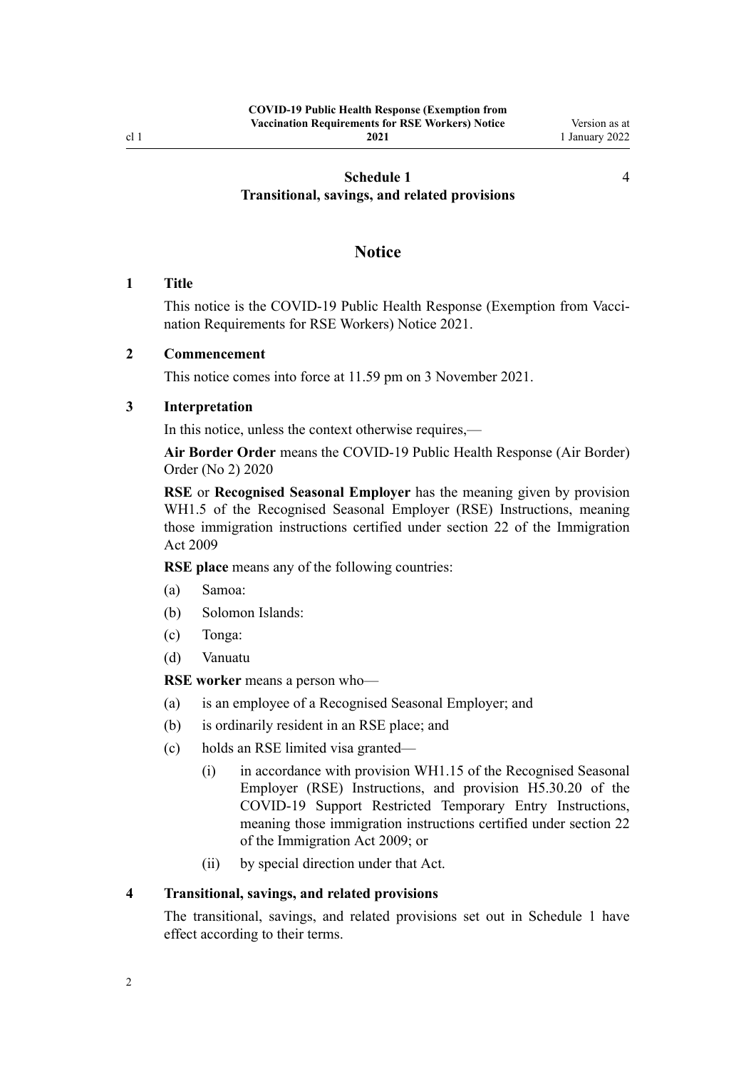## <span id="page-1-0"></span>**[Schedule 1](#page-3-0) [Transitional, savings, and related provisions](#page-3-0)**

## **Notice**

#### **1 Title**

This notice is the COVID-19 Public Health Response (Exemption from Vaccination Requirements for RSE Workers) Notice 2021.

## **2 Commencement**

This notice comes into force at 11.59 pm on 3 November 2021.

## **3 Interpretation**

In this notice, unless the context otherwise requires,—

**Air Border Order** means the [COVID-19 Public Health Response \(Air Border\)](http://legislation.govt.nz/pdflink.aspx?id=LMS403345) [Order \(No 2\) 2020](http://legislation.govt.nz/pdflink.aspx?id=LMS403345)

**RSE** or **Recognised Seasonal Employer** has the meaning given by provision WH1.5 of the Recognised Seasonal Employer (RSE) Instructions, meaning those immigration instructions certified under [section 22](http://legislation.govt.nz/pdflink.aspx?id=DLM1440613) of the Immigration Act 2009

**RSE place** means any of the following countries:

- (a) Samoa:
- (b) Solomon Islands:
- (c) Tonga:
- (d) Vanuatu

**RSE worker** means a person who—

- (a) is an employee of a Recognised Seasonal Employer; and
- (b) is ordinarily resident in an RSE place; and
- (c) holds an RSE limited visa granted—
	- (i) in accordance with provision WH1.15 of the Recognised Seasonal Employer (RSE) Instructions, and provision H5.30.20 of the COVID-19 Support Restricted Temporary Entry Instructions, meaning those immigration instructions certified under [section 22](http://legislation.govt.nz/pdflink.aspx?id=DLM1440613) of the Immigration Act 2009; or
	- (ii) by special direction under that Act.

#### **4 Transitional, savings, and related provisions**

The transitional, savings, and related provisions set out in [Schedule 1](#page-3-0) have effect according to their terms.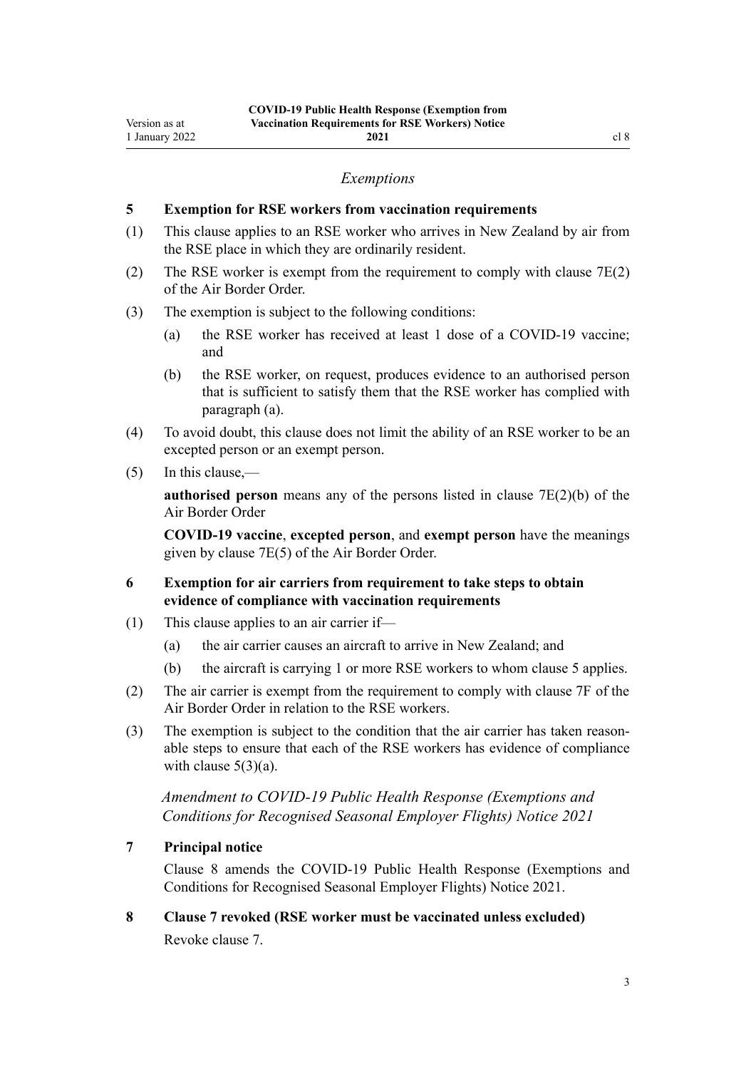#### *Exemptions*

## <span id="page-2-0"></span>**5 Exemption for RSE workers from vaccination requirements**

- (1) This clause applies to an RSE worker who arrives in New Zealand by air from the RSE place in which they are ordinarily resident.
- (2) The RSE worker is exempt from the requirement to comply with [clause 7E\(2\)](http://legislation.govt.nz/pdflink.aspx?id=LMS584076) of the Air Border Order.
- (3) The exemption is subject to the following conditions:
	- (a) the RSE worker has received at least 1 dose of a COVID-19 vaccine; and
	- (b) the RSE worker, on request, produces evidence to an authorised person that is sufficient to satisfy them that the RSE worker has complied with paragraph (a).
- (4) To avoid doubt, this clause does not limit the ability of an RSE worker to be an excepted person or an exempt person.
- (5) In this clause,—

**authorised person** means any of the persons listed in [clause 7E\(2\)\(b\)](http://legislation.govt.nz/pdflink.aspx?id=LMS584076) of the Air Border Order

**COVID-19 vaccine**, **excepted person**, and **exempt person** have the meanings given by [clause 7E\(5\)](http://legislation.govt.nz/pdflink.aspx?id=LMS584076) of the Air Border Order.

- **6 Exemption for air carriers from requirement to take steps to obtain evidence of compliance with vaccination requirements**
- (1) This clause applies to an air carrier if—
	- (a) the air carrier causes an aircraft to arrive in New Zealand; and
	- (b) the aircraft is carrying 1 or more RSE workers to whom clause 5 applies.
- (2) The air carrier is exempt from the requirement to comply with [clause 7F](http://legislation.govt.nz/pdflink.aspx?id=LMS584080) of the Air Border Order in relation to the RSE workers.
- (3) The exemption is subject to the condition that the air carrier has taken reason‐ able steps to ensure that each of the RSE workers has evidence of compliance with clause  $5(3)(a)$ .

*Amendment to COVID-19 Public Health Response (Exemptions and Conditions for Recognised Seasonal Employer Flights) Notice 2021*

## **7 Principal notice**

Clause 8 amends the [COVID-19 Public Health Response \(Exemptions and](http://legislation.govt.nz/pdflink.aspx?id=LMS548856) [Conditions for Recognised Seasonal Employer Flights\) Notice 2021.](http://legislation.govt.nz/pdflink.aspx?id=LMS548856)

**8 Clause 7 revoked (RSE worker must be vaccinated unless excluded)** Revoke [clause 7.](http://legislation.govt.nz/pdflink.aspx?id=LMS548893)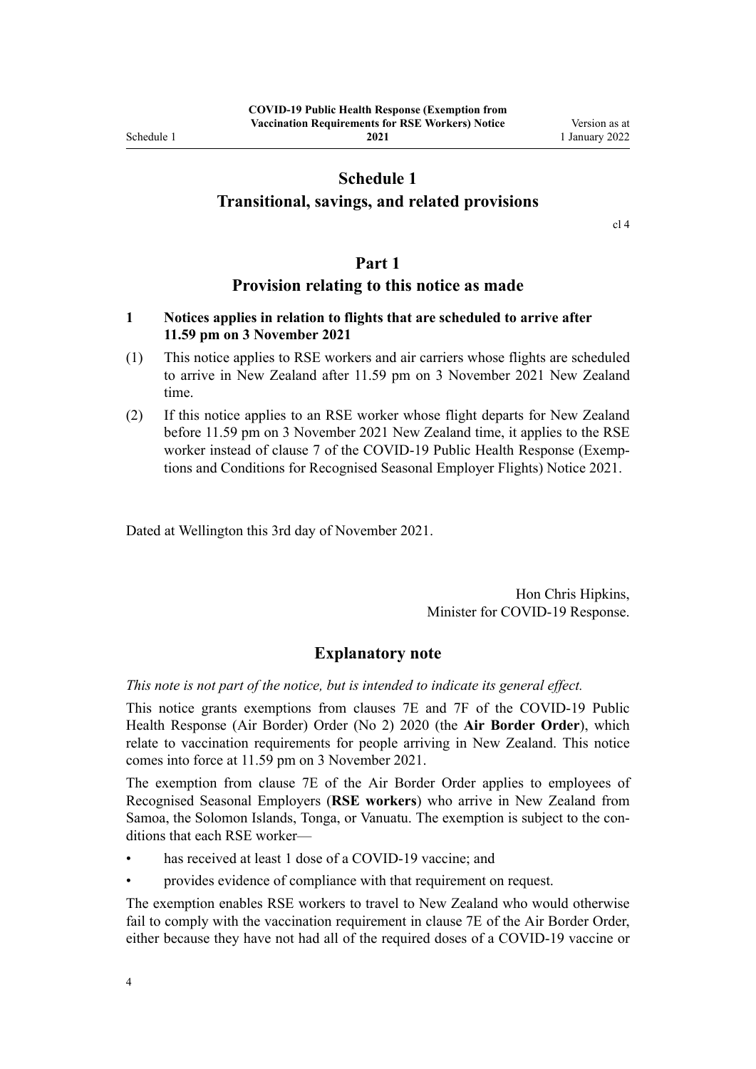<span id="page-3-0"></span>Schedule 1

**2021**

## **Schedule 1**

## **Transitional, savings, and related provisions**

[cl 4](#page-1-0)

## **Part 1**

## **Provision relating to this notice as made**

## **1 Notices applies in relation to flights that are scheduled to arrive after 11.59 pm on 3 November 2021**

- (1) This notice applies to RSE workers and air carriers whose flights are scheduled to arrive in New Zealand after 11.59 pm on 3 November 2021 New Zealand time.
- (2) If this notice applies to an RSE worker whose flight departs for New Zealand before 11.59 pm on 3 November 2021 New Zealand time, it applies to the RSE worker instead of [clause 7](http://legislation.govt.nz/pdflink.aspx?id=LMS548893) of the COVID-19 Public Health Response (Exemptions and Conditions for Recognised Seasonal Employer Flights) Notice 2021.

Dated at Wellington this 3rd day of November 2021.

Hon Chris Hipkins, Minister for COVID-19 Response.

## **Explanatory note**

*This note is not part of the notice, but is intended to indicate its general effect.*

This notice grants exemptions from [clauses 7E](http://legislation.govt.nz/pdflink.aspx?id=LMS584076) and [7F](http://legislation.govt.nz/pdflink.aspx?id=LMS584080) of the COVID-19 Public Health Response (Air Border) Order (No 2) 2020 (the **Air Border Order**), which relate to vaccination requirements for people arriving in New Zealand. This notice comes into force at 11.59 pm on 3 November 2021.

The exemption from [clause 7E](http://legislation.govt.nz/pdflink.aspx?id=LMS584076) of the Air Border Order applies to employees of Recognised Seasonal Employers (**RSE workers**) who arrive in New Zealand from Samoa, the Solomon Islands, Tonga, or Vanuatu. The exemption is subject to the con‐ ditions that each RSE worker—

- has received at least 1 dose of a COVID-19 vaccine; and
- provides evidence of compliance with that requirement on request.

The exemption enables RSE workers to travel to New Zealand who would otherwise fail to comply with the vaccination requirement in [clause 7E](http://legislation.govt.nz/pdflink.aspx?id=LMS584076) of the Air Border Order, either because they have not had all of the required doses of a COVID-19 vaccine or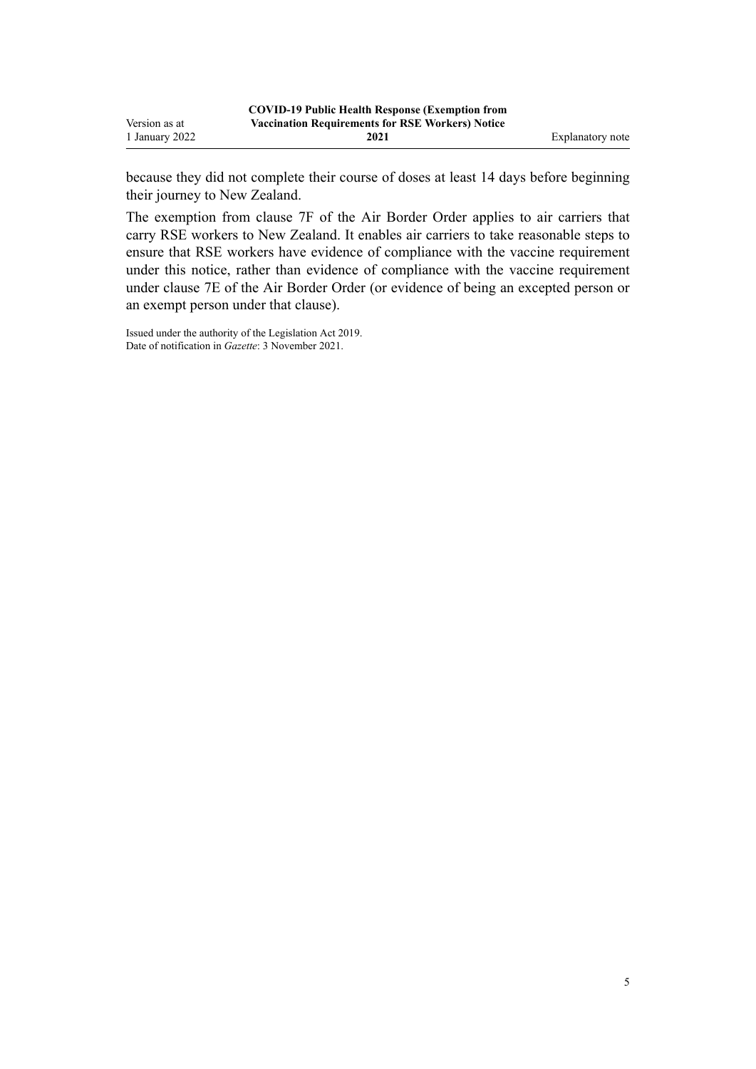because they did not complete their course of doses at least 14 days before beginning their journey to New Zealand.

The exemption from [clause 7F](http://legislation.govt.nz/pdflink.aspx?id=LMS584080) of the Air Border Order applies to air carriers that carry RSE workers to New Zealand. It enables air carriers to take reasonable steps to ensure that RSE workers have evidence of compliance with the vaccine requirement under this notice, rather than evidence of compliance with the vaccine requirement under [clause 7E](http://legislation.govt.nz/pdflink.aspx?id=LMS584076) of the Air Border Order (or evidence of being an excepted person or an exempt person under that clause).

Issued under the authority of the [Legislation Act 2019](http://legislation.govt.nz/pdflink.aspx?id=DLM7298104). Date of notification in *Gazette*: 3 November 2021.